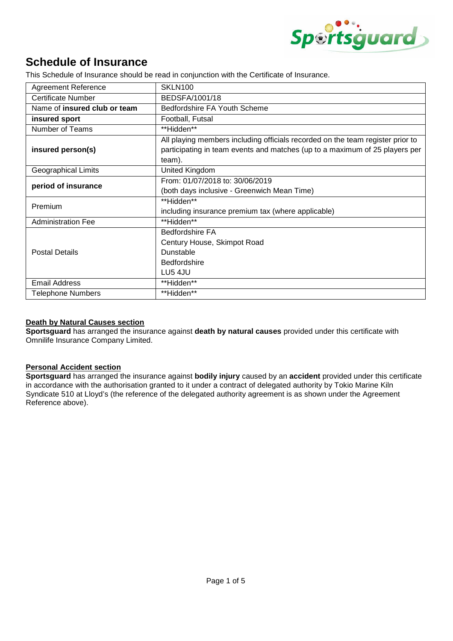

# **Schedule of Insurance**

This Schedule of Insurance should be read in conjunction with the Certificate of Insurance.

| <b>Agreement Reference</b>   | SKLN100                                                                                                                                                                 |  |
|------------------------------|-------------------------------------------------------------------------------------------------------------------------------------------------------------------------|--|
| <b>Certificate Number</b>    | BEDSFA/1001/18                                                                                                                                                          |  |
| Name of insured club or team | Bedfordshire FA Youth Scheme                                                                                                                                            |  |
| insured sport                | Football, Futsal                                                                                                                                                        |  |
| Number of Teams              | **Hidden**                                                                                                                                                              |  |
| insured person(s)            | All playing members including officials recorded on the team register prior to<br>participating in team events and matches (up to a maximum of 25 players per<br>team). |  |
| <b>Geographical Limits</b>   | United Kingdom                                                                                                                                                          |  |
| period of insurance          | From: 01/07/2018 to: 30/06/2019<br>(both days inclusive - Greenwich Mean Time)                                                                                          |  |
| Premium                      | **Hidden**<br>including insurance premium tax (where applicable)                                                                                                        |  |
| <b>Administration Fee</b>    | **Hidden**                                                                                                                                                              |  |
| <b>Postal Details</b>        | <b>Bedfordshire FA</b><br>Century House, Skimpot Road<br>Dunstable<br><b>Bedfordshire</b><br>LU5 4JU                                                                    |  |
| <b>Email Address</b>         | **Hidden**                                                                                                                                                              |  |
| <b>Telephone Numbers</b>     | **Hidden**                                                                                                                                                              |  |

## **Death by Natural Causes section**

**Sportsguard** has arranged the insurance against **death by natural causes** provided under this certificate with Omnilife Insurance Company Limited.

## **Personal Accident section**

**Sportsguard** has arranged the insurance against **bodily injury** caused by an **accident** provided under this certificate in accordance with the authorisation granted to it under a contract of delegated authority by Tokio Marine Kiln Syndicate 510 at Lloyd's (the reference of the delegated authority agreement is as shown under the Agreement Reference above).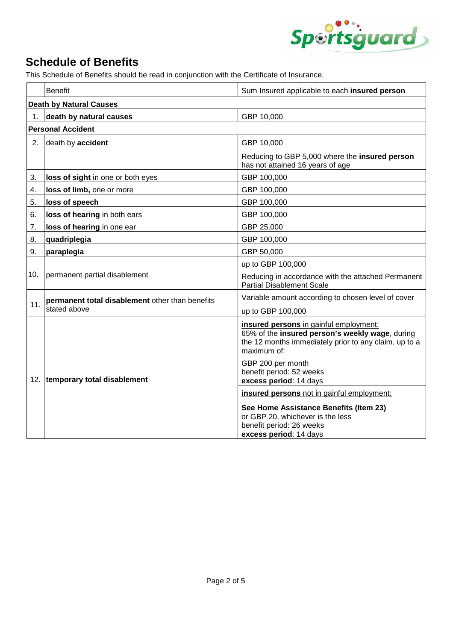

# **Schedule of Benefits**

This Schedule of Benefits should be read in conjunction with the Certificate of Insurance.

|                                | <b>Benefit</b>                                                  | Sum Insured applicable to each insured person                                                                                                                                                                                                |  |  |
|--------------------------------|-----------------------------------------------------------------|----------------------------------------------------------------------------------------------------------------------------------------------------------------------------------------------------------------------------------------------|--|--|
| <b>Death by Natural Causes</b> |                                                                 |                                                                                                                                                                                                                                              |  |  |
| 1.                             | death by natural causes                                         | GBP 10,000                                                                                                                                                                                                                                   |  |  |
|                                | <b>Personal Accident</b>                                        |                                                                                                                                                                                                                                              |  |  |
| 2.                             | death by accident                                               | GBP 10,000                                                                                                                                                                                                                                   |  |  |
|                                |                                                                 | Reducing to GBP 5,000 where the insured person<br>has not attained 16 years of age                                                                                                                                                           |  |  |
| 3.                             | loss of sight in one or both eyes                               | GBP 100,000                                                                                                                                                                                                                                  |  |  |
| 4.                             | loss of limb, one or more                                       | GBP 100,000                                                                                                                                                                                                                                  |  |  |
| 5.                             | loss of speech                                                  | GBP 100,000                                                                                                                                                                                                                                  |  |  |
| 6.                             | loss of hearing in both ears                                    | GBP 100,000                                                                                                                                                                                                                                  |  |  |
| 7.                             | loss of hearing in one ear                                      | GBP 25,000                                                                                                                                                                                                                                   |  |  |
| 8.                             | quadriplegia                                                    | GBP 100,000                                                                                                                                                                                                                                  |  |  |
| 9.                             | paraplegia                                                      | GBP 50,000                                                                                                                                                                                                                                   |  |  |
| 10.                            | permanent partial disablement                                   | up to GBP 100,000                                                                                                                                                                                                                            |  |  |
|                                |                                                                 | Reducing in accordance with the attached Permanent<br><b>Partial Disablement Scale</b>                                                                                                                                                       |  |  |
| 11.                            | permanent total disablement other than benefits<br>stated above | Variable amount according to chosen level of cover                                                                                                                                                                                           |  |  |
|                                |                                                                 | up to GBP 100,000                                                                                                                                                                                                                            |  |  |
| 12.                            | temporary total disablement                                     | insured persons in gainful employment:<br>65% of the insured person's weekly wage, during<br>the 12 months immediately prior to any claim, up to a<br>maximum of:<br>GBP 200 per month<br>benefit period: 52 weeks<br>excess period: 14 days |  |  |
|                                |                                                                 | insured persons not in gainful employment:                                                                                                                                                                                                   |  |  |
|                                |                                                                 | See Home Assistance Benefits (Item 23)<br>or GBP 20, whichever is the less<br>benefit period: 26 weeks<br>excess period: 14 days                                                                                                             |  |  |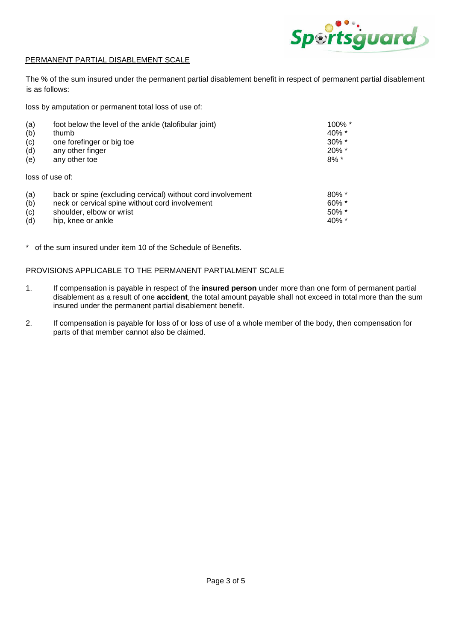

#### PERMANENT PARTIAL DISABLEMENT SCALE

The % of the sum insured under the permanent partial disablement benefit in respect of permanent partial disablement is as follows:

loss by amputation or permanent total loss of use of:

| (a) | foot below the level of the ankle (talofibular joint)       | $100\%$ * |
|-----|-------------------------------------------------------------|-----------|
| (b) | thumb                                                       | $40\%$ *  |
| (c) | one forefinger or big toe                                   | $30\%$ *  |
| (d) | any other finger                                            | $20\%$ *  |
| (e) | any other toe                                               | $8\%$ *   |
|     | loss of use of:                                             |           |
| (a) | back or spine (excluding cervical) without cord involvement | $80\%$ *  |
| (b) | neck or cervical spine without cord involvement             | $60\%$ *  |
| (c) | shoulder, elbow or wrist                                    | $50\%$ *  |

 $(d)$  hip, knee or ankle 40% \*

\* of the sum insured under item 10 of the Schedule of Benefits.

PROVISIONS APPLICABLE TO THE PERMANENT PARTIALMENT SCALE

- 1. If compensation is payable in respect of the **insured person** under more than one form of permanent partial disablement as a result of one **accident**, the total amount payable shall not exceed in total more than the sum insured under the permanent partial disablement benefit.
- 2. If compensation is payable for loss of or loss of use of a whole member of the body, then compensation for parts of that member cannot also be claimed.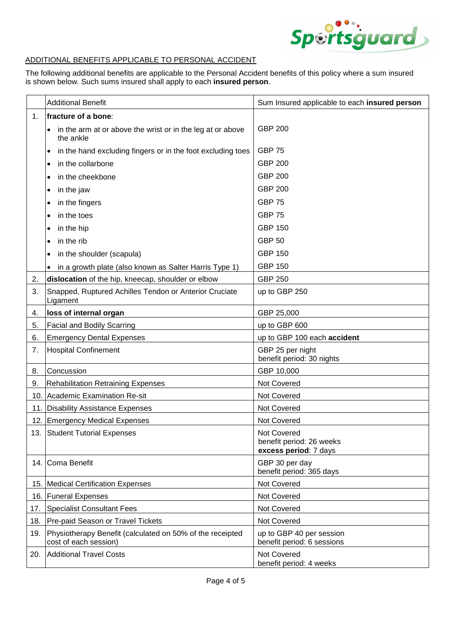

#### ADDITIONAL BENEFITS APPLICABLE TO PERSONAL ACCIDENT

The following additional benefits are applicable to the Personal Accident benefits of this policy where a sum insured is shown below. Such sums insured shall apply to each **insured person**.

|     | <b>Additional Benefit</b>                                                            | Sum Insured applicable to each insured person                           |
|-----|--------------------------------------------------------------------------------------|-------------------------------------------------------------------------|
| 1.  | fracture of a bone:                                                                  |                                                                         |
|     | in the arm at or above the wrist or in the leg at or above<br>$\bullet$<br>the ankle | <b>GBP 200</b>                                                          |
|     | in the hand excluding fingers or in the foot excluding toes<br>$\bullet$             | <b>GBP 75</b>                                                           |
|     | in the collarbone<br>٠                                                               | <b>GBP 200</b>                                                          |
|     | in the cheekbone                                                                     | <b>GBP 200</b>                                                          |
|     | in the jaw<br>٠                                                                      | <b>GBP 200</b>                                                          |
|     | in the fingers                                                                       | <b>GBP 75</b>                                                           |
|     | in the toes<br>٠                                                                     | <b>GBP 75</b>                                                           |
|     | in the hip<br>٠                                                                      | <b>GBP 150</b>                                                          |
|     | in the rib                                                                           | <b>GBP 50</b>                                                           |
|     | in the shoulder (scapula)                                                            | <b>GBP 150</b>                                                          |
|     | in a growth plate (also known as Salter Harris Type 1)                               | <b>GBP 150</b>                                                          |
| 2.  | dislocation of the hip, kneecap, shoulder or elbow                                   | <b>GBP 250</b>                                                          |
| 3.  | Snapped, Ruptured Achilles Tendon or Anterior Cruciate<br>Ligament                   | up to GBP 250                                                           |
| 4.  | loss of internal organ                                                               | GBP 25,000                                                              |
| 5.  | <b>Facial and Bodily Scarring</b>                                                    | up to GBP 600                                                           |
| 6.  | <b>Emergency Dental Expenses</b>                                                     | up to GBP 100 each accident                                             |
| 7.  | <b>Hospital Confinement</b>                                                          | GBP 25 per night<br>benefit period: 30 nights                           |
| 8.  | Concussion                                                                           | GBP 10,000                                                              |
| 9.  | <b>Rehabilitation Retraining Expenses</b>                                            | Not Covered                                                             |
|     | 10. Academic Examination Re-sit                                                      | Not Covered                                                             |
|     | 11. Disability Assistance Expenses                                                   | Not Covered                                                             |
|     | 12. Emergency Medical Expenses                                                       | Not Covered                                                             |
|     | 13. Student Tutorial Expenses                                                        | <b>Not Covered</b><br>benefit period: 26 weeks<br>excess period: 7 days |
|     | 14. Coma Benefit                                                                     | GBP 30 per day<br>benefit period: 365 days                              |
|     | 15. Medical Certification Expenses                                                   | Not Covered                                                             |
|     | 16. Funeral Expenses                                                                 | Not Covered                                                             |
| 17. | <b>Specialist Consultant Fees</b>                                                    | Not Covered                                                             |
| 18. | Pre-paid Season or Travel Tickets                                                    | Not Covered                                                             |
| 19. | Physiotherapy Benefit (calculated on 50% of the receipted<br>cost of each session)   | up to GBP 40 per session<br>benefit period: 6 sessions                  |
| 20. | <b>Additional Travel Costs</b>                                                       | Not Covered<br>benefit period: 4 weeks                                  |